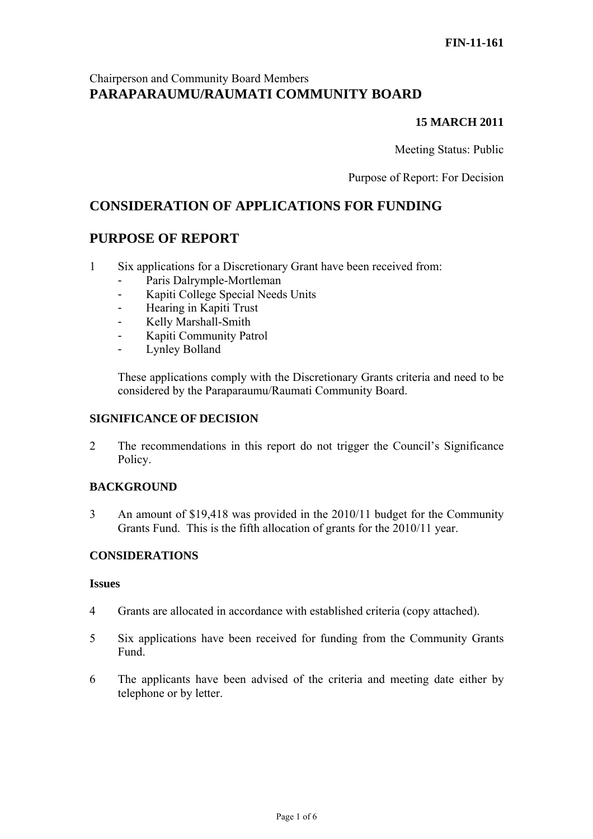# Chairperson and Community Board Members **PARAPARAUMU/RAUMATI COMMUNITY BOARD**

## **15 MARCH 2011**

Meeting Status: Public

Purpose of Report: For Decision

# **CONSIDERATION OF APPLICATIONS FOR FUNDING**

# **PURPOSE OF REPORT**

- 1 Six applications for a Discretionary Grant have been received from:
	- Paris Dalrymple-Mortleman
	- Kapiti College Special Needs Units
	- Hearing in Kapiti Trust
	- Kelly Marshall-Smith
	- Kapiti Community Patrol
	- Lynley Bolland

These applications comply with the Discretionary Grants criteria and need to be considered by the Paraparaumu/Raumati Community Board.

#### **SIGNIFICANCE OF DECISION**

2 The recommendations in this report do not trigger the Council's Significance Policy.

### **BACKGROUND**

3 An amount of \$19,418 was provided in the 2010/11 budget for the Community Grants Fund. This is the fifth allocation of grants for the 2010/11 year.

#### **CONSIDERATIONS**

#### **Issues**

- 4 Grants are allocated in accordance with established criteria (copy attached).
- 5 Six applications have been received for funding from the Community Grants Fund.
- 6 The applicants have been advised of the criteria and meeting date either by telephone or by letter.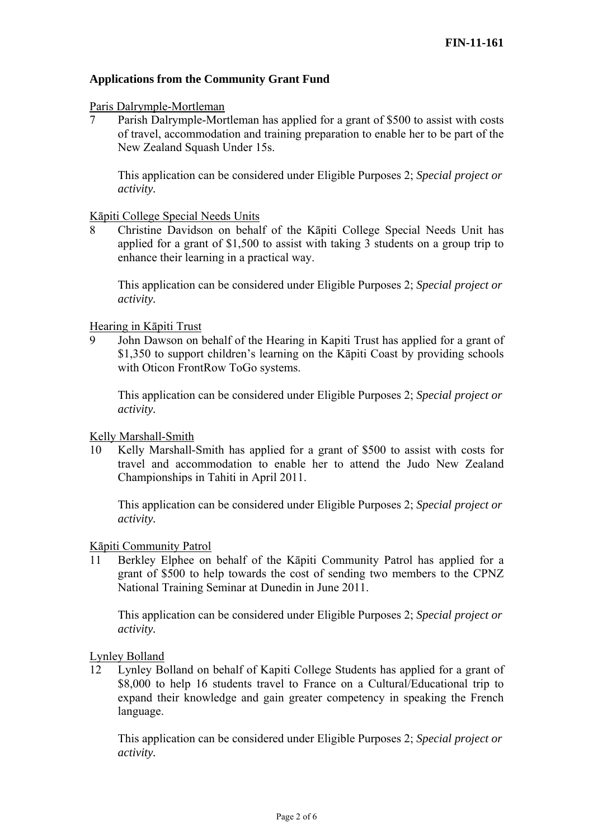### **Applications from the Community Grant Fund**

#### Paris Dalrymple-Mortleman

7 Parish Dalrymple-Mortleman has applied for a grant of \$500 to assist with costs of travel, accommodation and training preparation to enable her to be part of the New Zealand Squash Under 15s.

This application can be considered under Eligible Purposes 2; *Special project or activity.* 

#### Kāpiti College Special Needs Units

8 Christine Davidson on behalf of the Kāpiti College Special Needs Unit has applied for a grant of \$1,500 to assist with taking 3 students on a group trip to enhance their learning in a practical way.

This application can be considered under Eligible Purposes 2; *Special project or activity.* 

#### Hearing in Kāpiti Trust

9 John Dawson on behalf of the Hearing in Kapiti Trust has applied for a grant of \$1,350 to support children's learning on the Kāpiti Coast by providing schools with Oticon FrontRow ToGo systems.

This application can be considered under Eligible Purposes 2; *Special project or activity.* 

#### Kelly Marshall-Smith

10 Kelly Marshall-Smith has applied for a grant of \$500 to assist with costs for travel and accommodation to enable her to attend the Judo New Zealand Championships in Tahiti in April 2011.

This application can be considered under Eligible Purposes 2; *Special project or activity.* 

#### Kāpiti Community Patrol

11 Berkley Elphee on behalf of the Kāpiti Community Patrol has applied for a grant of \$500 to help towards the cost of sending two members to the CPNZ National Training Seminar at Dunedin in June 2011.

This application can be considered under Eligible Purposes 2; *Special project or activity.* 

Lynley Bolland

12 Lynley Bolland on behalf of Kapiti College Students has applied for a grant of \$8,000 to help 16 students travel to France on a Cultural/Educational trip to expand their knowledge and gain greater competency in speaking the French language.

This application can be considered under Eligible Purposes 2; *Special project or activity.*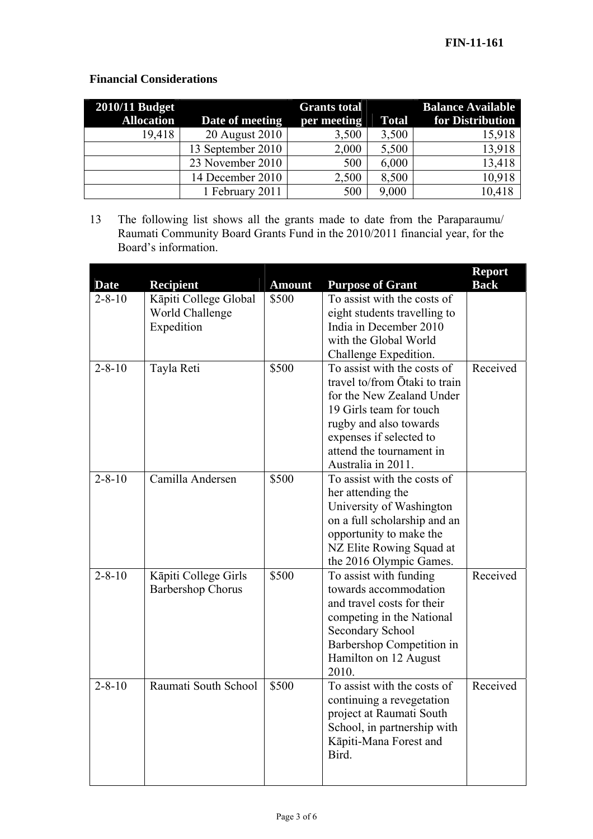# **Financial Considerations**

| <b>2010/11 Budget</b> |                   | <b>Grants total</b> |              | <b>Balance Available</b> |
|-----------------------|-------------------|---------------------|--------------|--------------------------|
| <b>Allocation</b>     | Date of meeting   | per meeting         | <b>Total</b> | for Distribution         |
| 19,418                | 20 August 2010    | 3,500               | 3,500        | 15,918                   |
|                       | 13 September 2010 | 2,000               | 5,500        | 13,918                   |
|                       | 23 November 2010  | 500                 | 6,000        | 13,418                   |
|                       | 14 December 2010  | 2,500               | 8,500        | 10,918                   |
|                       | 1 February 2011   | 500                 | 9,000        | 10,418                   |

13 The following list shows all the grants made to date from the Paraparaumu/ Raumati Community Board Grants Fund in the 2010/2011 financial year, for the Board's information.

| <b>Date</b>  | <b>Recipient</b>                                       | <b>Amount</b> | <b>Purpose of Grant</b>                                                                                                                                                                                                     | <b>Report</b><br><b>Back</b> |
|--------------|--------------------------------------------------------|---------------|-----------------------------------------------------------------------------------------------------------------------------------------------------------------------------------------------------------------------------|------------------------------|
| $2 - 8 - 10$ | Kāpiti College Global<br>World Challenge<br>Expedition | \$500         | To assist with the costs of<br>eight students travelling to<br>India in December 2010<br>with the Global World<br>Challenge Expedition.                                                                                     |                              |
| $2 - 8 - 10$ | Tayla Reti                                             | \$500         | To assist with the costs of<br>travel to/from Ōtaki to train<br>for the New Zealand Under<br>19 Girls team for touch<br>rugby and also towards<br>expenses if selected to<br>attend the tournament in<br>Australia in 2011. | Received                     |
| $2 - 8 - 10$ | Camilla Andersen                                       | \$500         | To assist with the costs of<br>her attending the<br>University of Washington<br>on a full scholarship and an<br>opportunity to make the<br>NZ Elite Rowing Squad at<br>the 2016 Olympic Games.                              |                              |
| $2 - 8 - 10$ | Kāpiti College Girls<br><b>Barbershop Chorus</b>       | \$500         | To assist with funding<br>towards accommodation<br>and travel costs for their<br>competing in the National<br>Secondary School<br>Barbershop Competition in<br>Hamilton on 12 August<br>2010.                               | Received                     |
| $2 - 8 - 10$ | Raumati South School                                   | \$500         | To assist with the costs of<br>continuing a revegetation<br>project at Raumati South<br>School, in partnership with<br>Kāpiti-Mana Forest and<br>Bird.                                                                      | Received                     |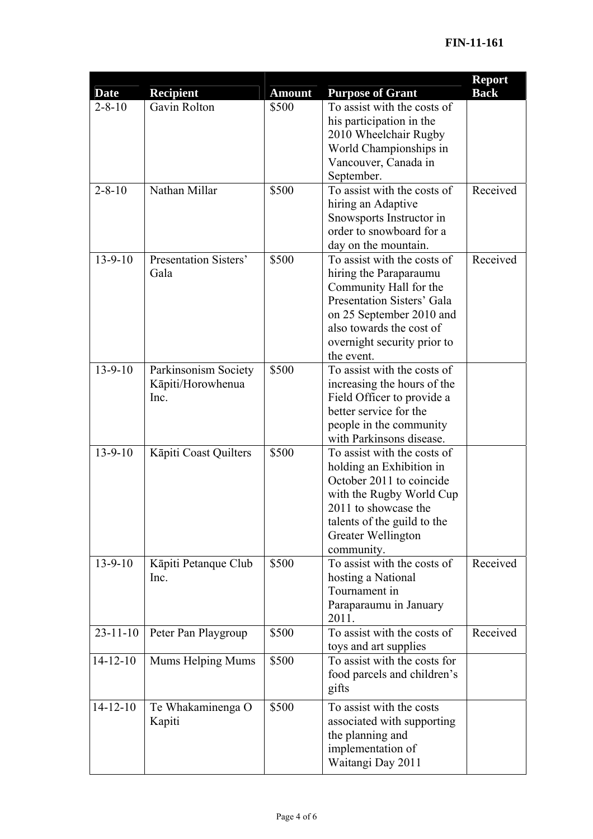| <b>Date</b>    | <b>Recipient</b>                                  | <b>Amount</b> | <b>Purpose of Grant</b>                                                                                                                                                                                            | <b>Report</b><br><b>Back</b> |
|----------------|---------------------------------------------------|---------------|--------------------------------------------------------------------------------------------------------------------------------------------------------------------------------------------------------------------|------------------------------|
| $2 - 8 - 10$   | Gavin Rolton                                      | \$500         | To assist with the costs of<br>his participation in the<br>2010 Wheelchair Rugby<br>World Championships in<br>Vancouver, Canada in<br>September.                                                                   |                              |
| $2 - 8 - 10$   | Nathan Millar                                     | \$500         | To assist with the costs of<br>hiring an Adaptive<br>Snowsports Instructor in<br>order to snowboard for a<br>day on the mountain.                                                                                  | Received                     |
| $13 - 9 - 10$  | Presentation Sisters'<br>Gala                     | \$500         | To assist with the costs of<br>hiring the Paraparaumu<br>Community Hall for the<br>Presentation Sisters' Gala<br>on 25 September 2010 and<br>also towards the cost of<br>overnight security prior to<br>the event. | Received                     |
| $13 - 9 - 10$  | Parkinsonism Society<br>Kāpiti/Horowhenua<br>Inc. | \$500         | To assist with the costs of<br>increasing the hours of the<br>Field Officer to provide a<br>better service for the<br>people in the community<br>with Parkinsons disease.                                          |                              |
| $13 - 9 - 10$  | Kāpiti Coast Quilters                             | \$500         | To assist with the costs of<br>holding an Exhibition in<br>October 2011 to coincide<br>with the Rugby World Cup<br>2011 to showcase the<br>talents of the guild to the<br>Greater Wellington<br>community.         |                              |
| $13 - 9 - 10$  | Kāpiti Petanque Club<br>Inc.                      | \$500         | To assist with the costs of<br>hosting a National<br>Tournament in<br>Paraparaumu in January<br>2011.                                                                                                              | Received                     |
| $23 - 11 - 10$ | Peter Pan Playgroup                               | \$500         | To assist with the costs of<br>toys and art supplies                                                                                                                                                               | Received                     |
| $14 - 12 - 10$ | Mums Helping Mums                                 | \$500         | To assist with the costs for<br>food parcels and children's<br>gifts                                                                                                                                               |                              |
| $14 - 12 - 10$ | Te Whakaminenga O<br>Kapiti                       | \$500         | To assist with the costs<br>associated with supporting<br>the planning and<br>implementation of<br>Waitangi Day 2011                                                                                               |                              |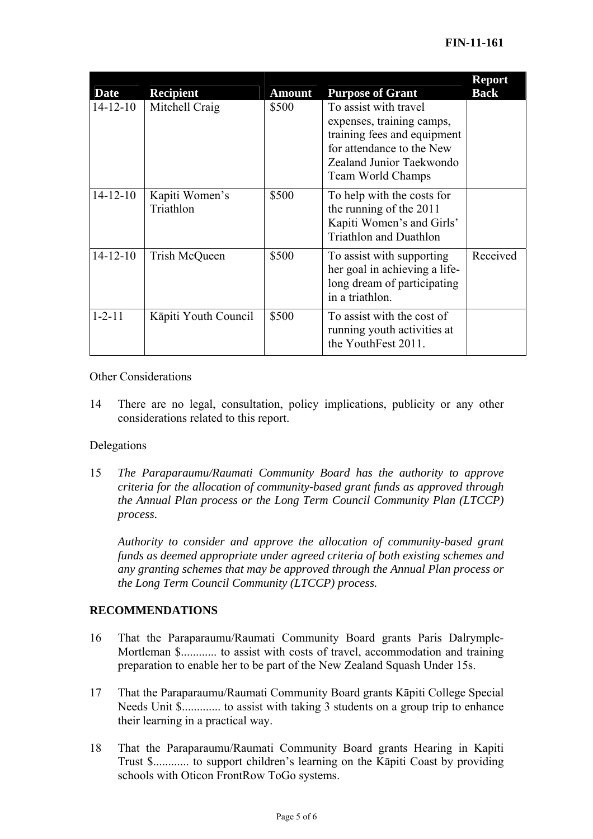| <b>Date</b>    | <b>Recipient</b>            | <b>Amount</b> | <b>Purpose of Grant</b>                                                                                                                                         | <b>Report</b><br><b>Back</b> |
|----------------|-----------------------------|---------------|-----------------------------------------------------------------------------------------------------------------------------------------------------------------|------------------------------|
| $14 - 12 - 10$ | Mitchell Craig              | \$500         | To assist with travel<br>expenses, training camps,<br>training fees and equipment<br>for attendance to the New<br>Zealand Junior Taekwondo<br>Team World Champs |                              |
| $14 - 12 - 10$ | Kapiti Women's<br>Triathlon | \$500         | To help with the costs for<br>the running of the 2011<br>Kapiti Women's and Girls'<br><b>Triathlon and Duathlon</b>                                             |                              |
| $14 - 12 - 10$ | Trish McQueen               | \$500         | To assist with supporting<br>her goal in achieving a life-<br>long dream of participating<br>in a triathlon.                                                    | Received                     |
| $1 - 2 - 11$   | Kāpiti Youth Council        | \$500         | To assist with the cost of<br>running youth activities at<br>the YouthFest 2011.                                                                                |                              |

### Other Considerations

14 There are no legal, consultation, policy implications, publicity or any other considerations related to this report.

## Delegations

15 *The Paraparaumu/Raumati Community Board has the authority to approve criteria for the allocation of community-based grant funds as approved through the Annual Plan process or the Long Term Council Community Plan (LTCCP) process.* 

*Authority to consider and approve the allocation of community-based grant funds as deemed appropriate under agreed criteria of both existing schemes and any granting schemes that may be approved through the Annual Plan process or the Long Term Council Community (LTCCP) process.* 

# **RECOMMENDATIONS**

- 16 That the Paraparaumu/Raumati Community Board grants Paris Dalrymple-Mortleman \$............ to assist with costs of travel, accommodation and training preparation to enable her to be part of the New Zealand Squash Under 15s.
- 17 That the Paraparaumu/Raumati Community Board grants Kāpiti College Special Needs Unit \$............... to assist with taking 3 students on a group trip to enhance their learning in a practical way.
- 18 That the Paraparaumu/Raumati Community Board grants Hearing in Kapiti Trust \$............ to support children's learning on the Kāpiti Coast by providing schools with Oticon FrontRow ToGo systems.